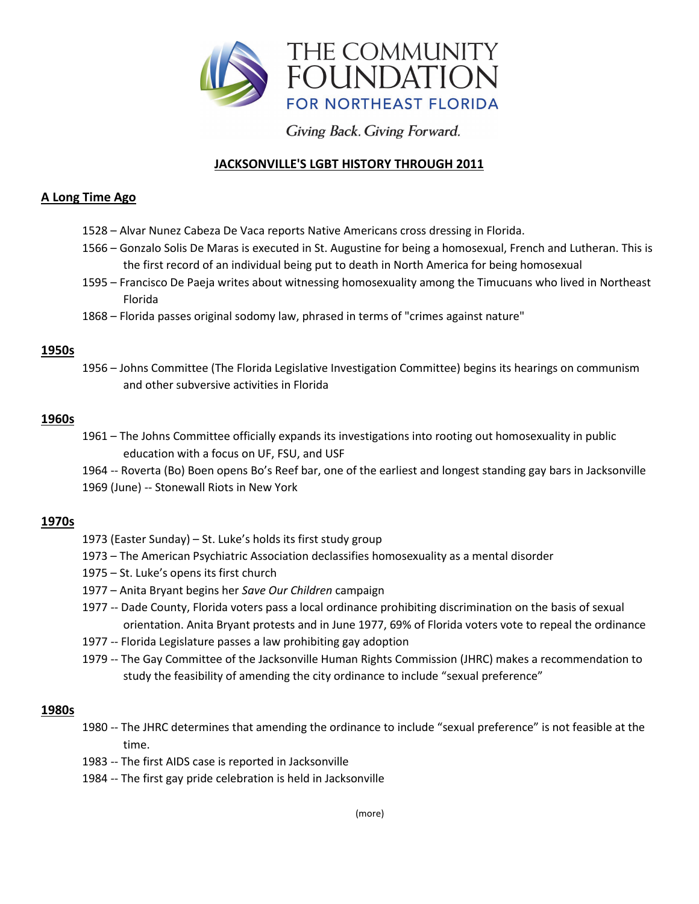

Giving Back. Giving Forward.

# **JACKSONVILLE'S LGBT HISTORY THROUGH 2011**

# **A Long Time Ago**

- 1528 Alvar Nunez Cabeza De Vaca reports Native Americans cross dressing in Florida.
- 1566 Gonzalo Solis De Maras is executed in St. Augustine for being a homosexual, French and Lutheran. This is the first record of an individual being put to death in North America for being homosexual
- 1595 Francisco De Paeja writes about witnessing homosexuality among the Timucuans who lived in Northeast Florida
- 1868 Florida passes original sodomy law, phrased in terms of "crimes against nature"

# **1950s**

1956 – Johns Committee (The Florida Legislative Investigation Committee) begins its hearings on communism and other subversive activities in Florida

#### **1960s**

1961 – The Johns Committee officially expands its investigations into rooting out homosexuality in public education with a focus on UF, FSU, and USF

1964 -- Roverta (Bo) Boen opens Bo's Reef bar, one of the earliest and longest standing gay bars in Jacksonville 1969 (June) -- Stonewall Riots in New York

# **1970s**

- 1973 (Easter Sunday) St. Luke's holds its first study group
- 1973 The American Psychiatric Association declassifies homosexuality as a mental disorder
- 1975 St. Luke's opens its first church
- 1977 Anita Bryant begins her *Save Our Children* campaign
- 1977 -- Dade County, Florida voters pass a local ordinance prohibiting discrimination on the basis of sexual orientation. Anita Bryant protests and in June 1977, 69% of Florida voters vote to repeal the ordinance
- 1977 -- Florida Legislature passes a law prohibiting gay adoption
- 1979 -- The Gay Committee of the Jacksonville Human Rights Commission (JHRC) makes a recommendation to study the feasibility of amending the city ordinance to include "sexual preference"

# **1980s**

- 1980 -- The JHRC determines that amending the ordinance to include "sexual preference" is not feasible at the time.
- 1983 -- The first AIDS case is reported in Jacksonville
- 1984 -- The first gay pride celebration is held in Jacksonville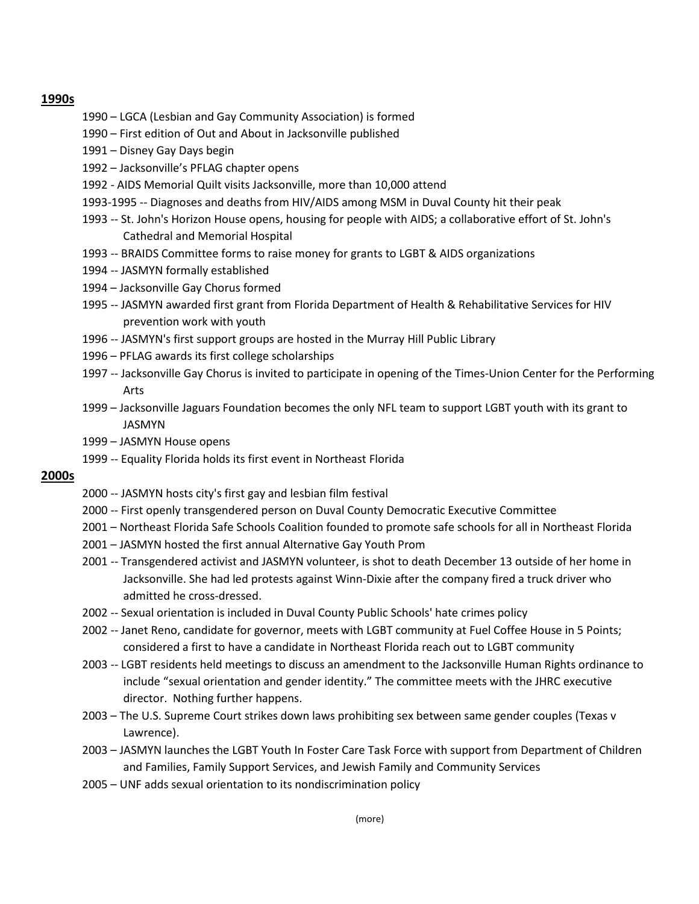#### **1990s**

- 1990 LGCA (Lesbian and Gay Community Association) is formed
- 1990 First edition of Out and About in Jacksonville published
- 1991 Disney Gay Days begin
- 1992 Jacksonville's PFLAG chapter opens
- 1992 AIDS Memorial Quilt visits Jacksonville, more than 10,000 attend
- 1993-1995 -- Diagnoses and deaths from HIV/AIDS among MSM in Duval County hit their peak
- 1993 -- St. John's Horizon House opens, housing for people with AIDS; a collaborative effort of St. John's Cathedral and Memorial Hospital
- 1993 -- BRAIDS Committee forms to raise money for grants to LGBT & AIDS organizations
- 1994 -- JASMYN formally established
- 1994 Jacksonville Gay Chorus formed
- 1995 -- JASMYN awarded first grant from Florida Department of Health & Rehabilitative Services for HIV prevention work with youth
- 1996 -- JASMYN's first support groups are hosted in the Murray Hill Public Library
- 1996 PFLAG awards its first college scholarships
- 1997 -- Jacksonville Gay Chorus is invited to participate in opening of the Times-Union Center for the Performing Arts
- 1999 Jacksonville Jaguars Foundation becomes the only NFL team to support LGBT youth with its grant to JASMYN
- 1999 JASMYN House opens
- 1999 -- Equality Florida holds its first event in Northeast Florida

#### **2000s**

- 2000 -- JASMYN hosts city's first gay and lesbian film festival
- 2000 -- First openly transgendered person on Duval County Democratic Executive Committee
- 2001 Northeast Florida Safe Schools Coalition founded to promote safe schools for all in Northeast Florida
- 2001 JASMYN hosted the first annual Alternative Gay Youth Prom
- 2001 -- Transgendered activist and JASMYN volunteer, is shot to death December 13 outside of her home in Jacksonville. She had led protests against Winn-Dixie after the company fired a truck driver who admitted he cross-dressed.
- 2002 -- Sexual orientation is included in Duval County Public Schools' hate crimes policy
- 2002 -- Janet Reno, candidate for governor, meets with LGBT community at Fuel Coffee House in 5 Points; considered a first to have a candidate in Northeast Florida reach out to LGBT community
- 2003 -- LGBT residents held meetings to discuss an amendment to the Jacksonville Human Rights ordinance to include "sexual orientation and gender identity." The committee meets with the JHRC executive director. Nothing further happens.
- 2003 The U.S. Supreme Court strikes down laws prohibiting sex between same gender couples (Texas v Lawrence).
- 2003 JASMYN launches the LGBT Youth In Foster Care Task Force with support from Department of Children and Families, Family Support Services, and Jewish Family and Community Services
- 2005 UNF adds sexual orientation to its nondiscrimination policy